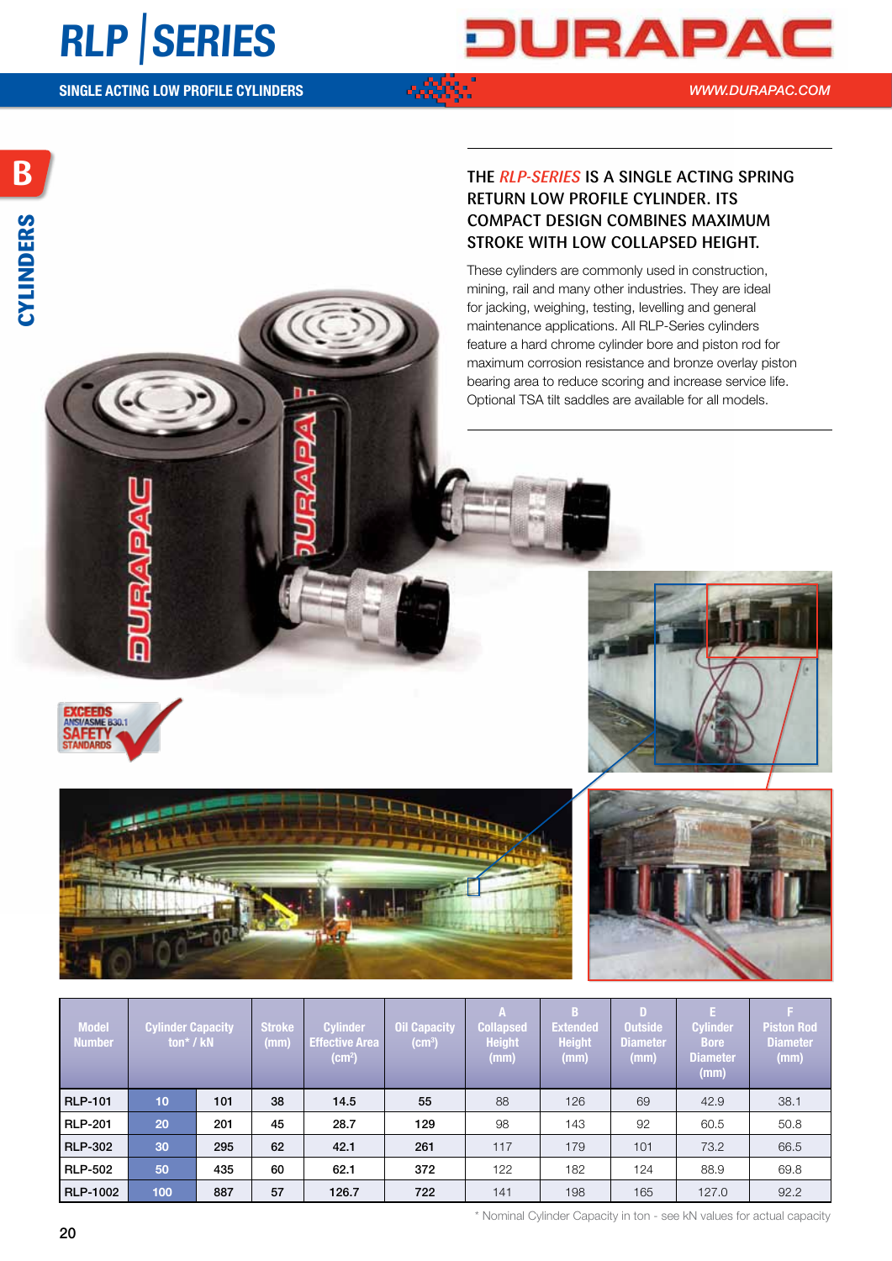### **RLP** |**SERIES**

# JURAPA

*WWW.DURAPAC.COM*

#### The *RLP-series* is a single acting spring return low profile cylinder. Its compact design combines maximum stroke with low collapsed height.

These cylinders are commonly used in construction, mining, rail and many other industries. They are ideal for jacking, weighing, testing, levelling and general maintenance applications. All RLP-Series cylinders feature a hard chrome cylinder bore and piston rod for maximum corrosion resistance and bronze overlay piston bearing area to reduce scoring and increase service life. Optional TSA tilt saddles are available for all models.









| <b>Model</b><br><b>Number</b> |                  | <b>Cylinder Capacity</b><br>ton* / kN | Stroke<br>(mm) | <b>Cylinder</b><br><b>Effective Area</b><br>(cm <sup>2</sup> ) | <b>Oil Capacity</b><br>$(cm^3)$ | Collapsed<br>Height<br>(mm) | <b>Extended</b><br><b>Height</b><br>u u u u | <b>Outside</b><br><b>Diameter</b><br>ستنت | <b>Cylinder</b><br><b>Bore</b><br><b>Diameter</b><br>(mm) | <b>Piston Rod</b><br><b>Diameter</b><br>$\langle$ (mm) |
|-------------------------------|------------------|---------------------------------------|----------------|----------------------------------------------------------------|---------------------------------|-----------------------------|---------------------------------------------|-------------------------------------------|-----------------------------------------------------------|--------------------------------------------------------|
| <b>RLP-101</b>                |                  | 101                                   | 38             | 14.5                                                           | 55                              | 88                          | 126                                         | 69                                        | 42.9                                                      | 38.1                                                   |
| RLP-201                       | 20               | 201                                   | 45             | 28.7                                                           | 129                             | 98                          | 143                                         | 92                                        | 60.5                                                      | 50.8                                                   |
| <b>RLP-302</b>                |                  | 295                                   | 62             | 42.1                                                           | 261                             | 117                         | 179                                         | 101                                       | 73.2                                                      | 66.5                                                   |
| RLP-502                       | 50               | 435                                   | 60             | 62.1                                                           | 372                             | 122                         | 182                                         | 124                                       | 88.9                                                      | 69.8                                                   |
| RLP-1002                      | 100 <sub>1</sub> | 887                                   | 57             | 126.7                                                          | 722                             | 141                         | 198                                         | 165                                       | 127.0                                                     | 92.2                                                   |

\* Nominal Cylinder Capacity in ton - see kN values for actual capacity